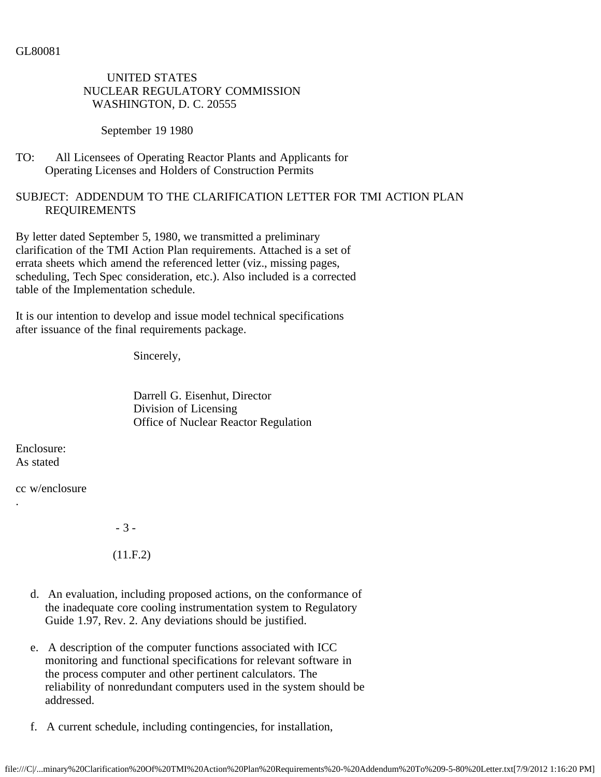GL80081

# UNITED STATES NUCLEAR REGULATORY COMMISSION WASHINGTON, D. C. 20555

September 19 1980

## TO: All Licensees of Operating Reactor Plants and Applicants for Operating Licenses and Holders of Construction Permits

# SUBJECT: ADDENDUM TO THE CLARIFICATION LETTER FOR TMI ACTION PLAN REQUIREMENTS

By letter dated September 5, 1980, we transmitted a preliminary clarification of the TMI Action Plan requirements. Attached is a set of errata sheets which amend the referenced letter (viz., missing pages, scheduling, Tech Spec consideration, etc.). Also included is a corrected table of the Implementation schedule.

It is our intention to develop and issue model technical specifications after issuance of the final requirements package.

Sincerely,

 Darrell G. Eisenhut, Director Division of Licensing Office of Nuclear Reactor Regulation

Enclosure: As stated

.

cc w/enclosure

- 3 -

(11.F.2)

- d. An evaluation, including proposed actions, on the conformance of the inadequate core cooling instrumentation system to Regulatory Guide 1.97, Rev. 2. Any deviations should be justified.
- e. A description of the computer functions associated with ICC monitoring and functional specifications for relevant software in the process computer and other pertinent calculators. The reliability of nonredundant computers used in the system should be addressed.
- f. A current schedule, including contingencies, for installation,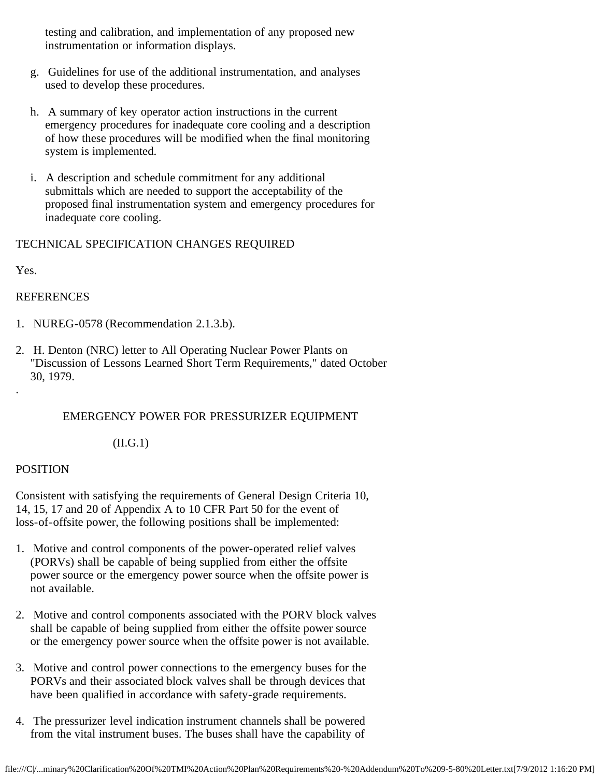testing and calibration, and implementation of any proposed new instrumentation or information displays.

- g. Guidelines for use of the additional instrumentation, and analyses used to develop these procedures.
- h. A summary of key operator action instructions in the current emergency procedures for inadequate core cooling and a description of how these procedures will be modified when the final monitoring system is implemented.
- i. A description and schedule commitment for any additional submittals which are needed to support the acceptability of the proposed final instrumentation system and emergency procedures for inadequate core cooling.

# TECHNICAL SPECIFICATION CHANGES REQUIRED

Yes.

.

# **REFERENCES**

- 1. NUREG-0578 (Recommendation 2.1.3.b).
- 2. H. Denton (NRC) letter to All Operating Nuclear Power Plants on "Discussion of Lessons Learned Short Term Requirements," dated October 30, 1979.

# EMERGENCY POWER FOR PRESSURIZER EQUIPMENT

(II.G.1)

# POSITION

Consistent with satisfying the requirements of General Design Criteria 10, 14, 15, 17 and 20 of Appendix A to 10 CFR Part 50 for the event of loss-of-offsite power, the following positions shall be implemented:

- 1. Motive and control components of the power-operated relief valves (PORVs) shall be capable of being supplied from either the offsite power source or the emergency power source when the offsite power is not available.
- 2. Motive and control components associated with the PORV block valves shall be capable of being supplied from either the offsite power source or the emergency power source when the offsite power is not available.
- 3. Motive and control power connections to the emergency buses for the PORVs and their associated block valves shall be through devices that have been qualified in accordance with safety-grade requirements.
- 4. The pressurizer level indication instrument channels shall be powered from the vital instrument buses. The buses shall have the capability of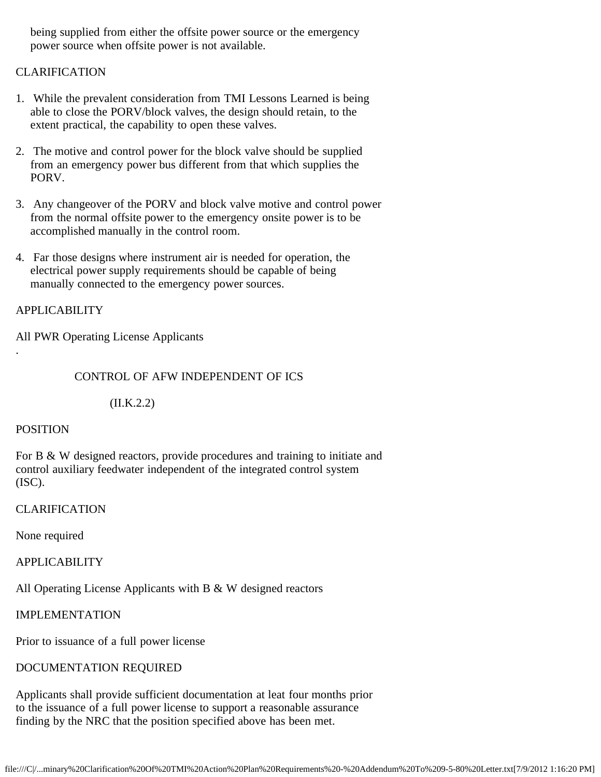being supplied from either the offsite power source or the emergency power source when offsite power is not available.

# CLARIFICATION

- 1. While the prevalent consideration from TMI Lessons Learned is being able to close the PORV/block valves, the design should retain, to the extent practical, the capability to open these valves.
- 2. The motive and control power for the block valve should be supplied from an emergency power bus different from that which supplies the PORV.
- 3. Any changeover of the PORV and block valve motive and control power from the normal offsite power to the emergency onsite power is to be accomplished manually in the control room.
- 4. Far those designs where instrument air is needed for operation, the electrical power supply requirements should be capable of being manually connected to the emergency power sources.

## APPLICABILITY

All PWR Operating License Applicants

## CONTROL OF AFW INDEPENDENT OF ICS

(II.K.2.2)

## POSITION

.

For B & W designed reactors, provide procedures and training to initiate and control auxiliary feedwater independent of the integrated control system (ISC).

## CLARIFICATION

None required

## APPLICABILITY

All Operating License Applicants with B  $&$  W designed reactors

## IMPLEMENTATION

Prior to issuance of a full power license

# DOCUMENTATION REQUIRED

Applicants shall provide sufficient documentation at leat four months prior to the issuance of a full power license to support a reasonable assurance finding by the NRC that the position specified above has been met.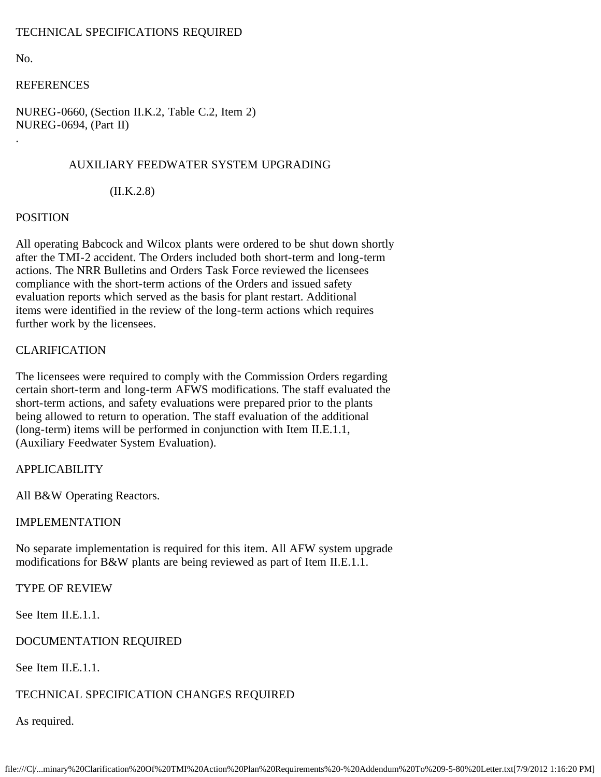# TECHNICAL SPECIFICATIONS REQUIRED

No.

#### **REFERENCES**

NUREG-0660, (Section II.K.2, Table C.2, Item 2) NUREG-0694, (Part II) .

### AUXILIARY FEEDWATER SYSTEM UPGRADING

(II.K.2.8)

#### POSITION

All operating Babcock and Wilcox plants were ordered to be shut down shortly after the TMI-2 accident. The Orders included both short-term and long-term actions. The NRR Bulletins and Orders Task Force reviewed the licensees compliance with the short-term actions of the Orders and issued safety evaluation reports which served as the basis for plant restart. Additional items were identified in the review of the long-term actions which requires further work by the licensees.

### CLARIFICATION

The licensees were required to comply with the Commission Orders regarding certain short-term and long-term AFWS modifications. The staff evaluated the short-term actions, and safety evaluations were prepared prior to the plants being allowed to return to operation. The staff evaluation of the additional (long-term) items will be performed in conjunction with Item II.E.1.1, (Auxiliary Feedwater System Evaluation).

### APPLICABILITY

All B&W Operating Reactors.

### IMPLEMENTATION

No separate implementation is required for this item. All AFW system upgrade modifications for B&W plants are being reviewed as part of Item II.E.1.1.

### TYPE OF REVIEW

See Item II.E.1.1.

### DOCUMENTATION REQUIRED

See Item II.E.1.1.

## TECHNICAL SPECIFICATION CHANGES REQUIRED

As required.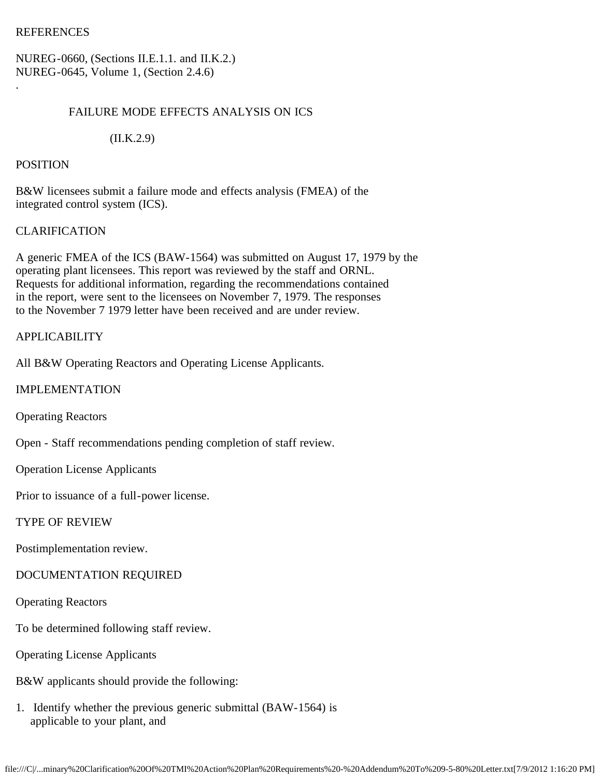### **REFERENCES**

NUREG-0660, (Sections II.E.1.1. and II.K.2.) NUREG-0645, Volume 1, (Section 2.4.6)

## FAILURE MODE EFFECTS ANALYSIS ON ICS

 $(II.K.2.9)$ 

### POSITION

.

B&W licensees submit a failure mode and effects analysis (FMEA) of the integrated control system (ICS).

### CLARIFICATION

A generic FMEA of the ICS (BAW-1564) was submitted on August 17, 1979 by the operating plant licensees. This report was reviewed by the staff and ORNL. Requests for additional information, regarding the recommendations contained in the report, were sent to the licensees on November 7, 1979. The responses to the November 7 1979 letter have been received and are under review.

## APPLICABILITY

All B&W Operating Reactors and Operating License Applicants.

### IMPLEMENTATION

Operating Reactors

Open - Staff recommendations pending completion of staff review.

Operation License Applicants

Prior to issuance of a full-power license.

### TYPE OF REVIEW

Postimplementation review.

## DOCUMENTATION REQUIRED

Operating Reactors

To be determined following staff review.

Operating License Applicants

B&W applicants should provide the following:

1. Identify whether the previous generic submittal (BAW-1564) is applicable to your plant, and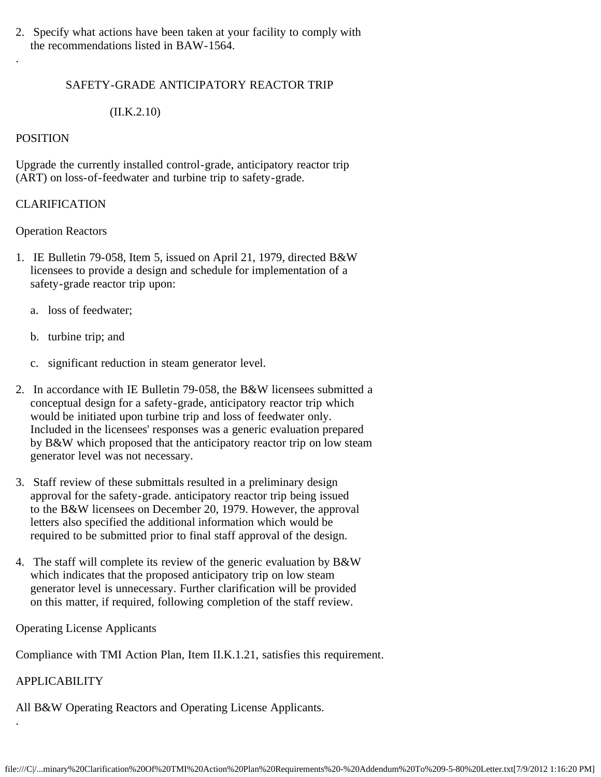2. Specify what actions have been taken at your facility to comply with the recommendations listed in BAW-1564.

### SAFETY-GRADE ANTICIPATORY REACTOR TRIP

### (II.K.2.10)

### POSITION

.

Upgrade the currently installed control-grade, anticipatory reactor trip (ART) on loss-of-feedwater and turbine trip to safety-grade.

# CLARIFICATION

### Operation Reactors

- 1. IE Bulletin 79-058, Item 5, issued on April 21, 1979, directed B&W licensees to provide a design and schedule for implementation of a safety-grade reactor trip upon:
	- a. loss of feedwater;
	- b. turbine trip; and
	- c. significant reduction in steam generator level.
- 2. In accordance with IE Bulletin 79-058, the B&W licensees submitted a conceptual design for a safety-grade, anticipatory reactor trip which would be initiated upon turbine trip and loss of feedwater only. Included in the licensees' responses was a generic evaluation prepared by B&W which proposed that the anticipatory reactor trip on low steam generator level was not necessary.
- 3. Staff review of these submittals resulted in a preliminary design approval for the safety-grade. anticipatory reactor trip being issued to the B&W licensees on December 20, 1979. However, the approval letters also specified the additional information which would be required to be submitted prior to final staff approval of the design.
- 4. The staff will complete its review of the generic evaluation by B&W which indicates that the proposed anticipatory trip on low steam generator level is unnecessary. Further clarification will be provided on this matter, if required, following completion of the staff review.

## Operating License Applicants

Compliance with TMI Action Plan, Item II.K.1.21, satisfies this requirement.

## APPLICABILITY

.

All B&W Operating Reactors and Operating License Applicants.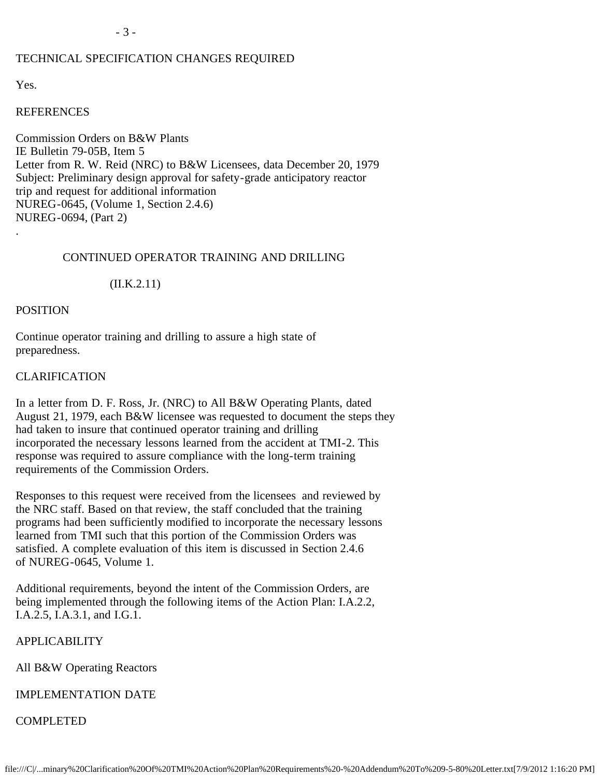# TECHNICAL SPECIFICATION CHANGES REQUIRED

Yes.

.

### **REFERENCES**

Commission Orders on B&W Plants IE Bulletin 79-05B, Item 5 Letter from R. W. Reid (NRC) to B&W Licensees, data December 20, 1979 Subject: Preliminary design approval for safety-grade anticipatory reactor trip and request for additional information NUREG-0645, (Volume 1, Section 2.4.6) NUREG-0694, (Part 2)

### CONTINUED OPERATOR TRAINING AND DRILLING

### $(II.K.2.11)$

### POSITION

Continue operator training and drilling to assure a high state of preparedness.

### CLARIFICATION

In a letter from D. F. Ross, Jr. (NRC) to All B&W Operating Plants, dated August 21, 1979, each B&W licensee was requested to document the steps they had taken to insure that continued operator training and drilling incorporated the necessary lessons learned from the accident at TMI-2. This response was required to assure compliance with the long-term training requirements of the Commission Orders.

Responses to this request were received from the licensees and reviewed by the NRC staff. Based on that review, the staff concluded that the training programs had been sufficiently modified to incorporate the necessary lessons learned from TMI such that this portion of the Commission Orders was satisfied. A complete evaluation of this item is discussed in Section 2.4.6 of NUREG-0645, Volume 1.

Additional requirements, beyond the intent of the Commission Orders, are being implemented through the following items of the Action Plan: I.A.2.2, I.A.2.5, I.A.3.1, and I.G.1.

## APPLICABILITY

All B&W Operating Reactors

## IMPLEMENTATION DATE

COMPLETED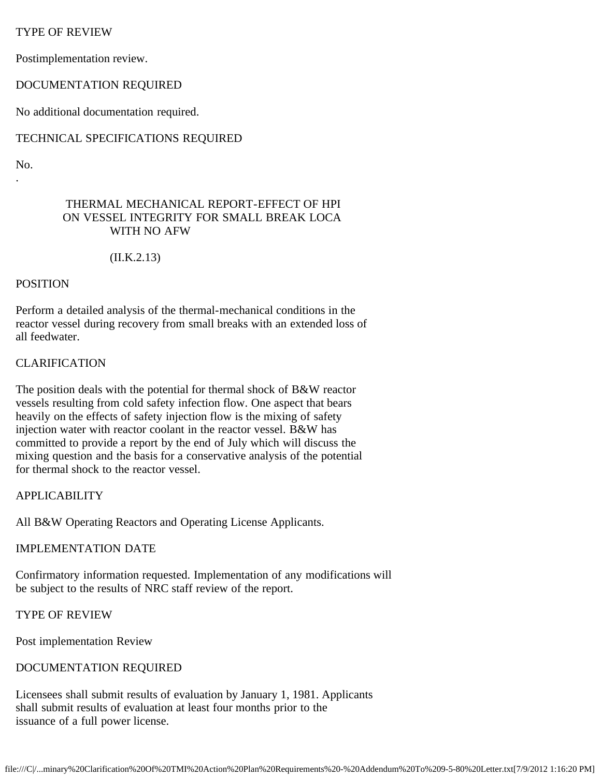# TYPE OF REVIEW

Postimplementation review.

## DOCUMENTATION REQUIRED

No additional documentation required.

# TECHNICAL SPECIFICATIONS REQUIRED

No. .

## THERMAL MECHANICAL REPORT-EFFECT OF HPI ON VESSEL INTEGRITY FOR SMALL BREAK LOCA WITH NO AFW

## (II.K.2.13)

### POSITION

Perform a detailed analysis of the thermal-mechanical conditions in the reactor vessel during recovery from small breaks with an extended loss of all feedwater.

## CLARIFICATION

The position deals with the potential for thermal shock of B&W reactor vessels resulting from cold safety infection flow. One aspect that bears heavily on the effects of safety injection flow is the mixing of safety injection water with reactor coolant in the reactor vessel. B&W has committed to provide a report by the end of July which will discuss the mixing question and the basis for a conservative analysis of the potential for thermal shock to the reactor vessel.

## APPLICABILITY

All B&W Operating Reactors and Operating License Applicants.

## IMPLEMENTATION DATE

Confirmatory information requested. Implementation of any modifications will be subject to the results of NRC staff review of the report.

## TYPE OF REVIEW

Post implementation Review

# DOCUMENTATION REQUIRED

Licensees shall submit results of evaluation by January 1, 1981. Applicants shall submit results of evaluation at least four months prior to the issuance of a full power license.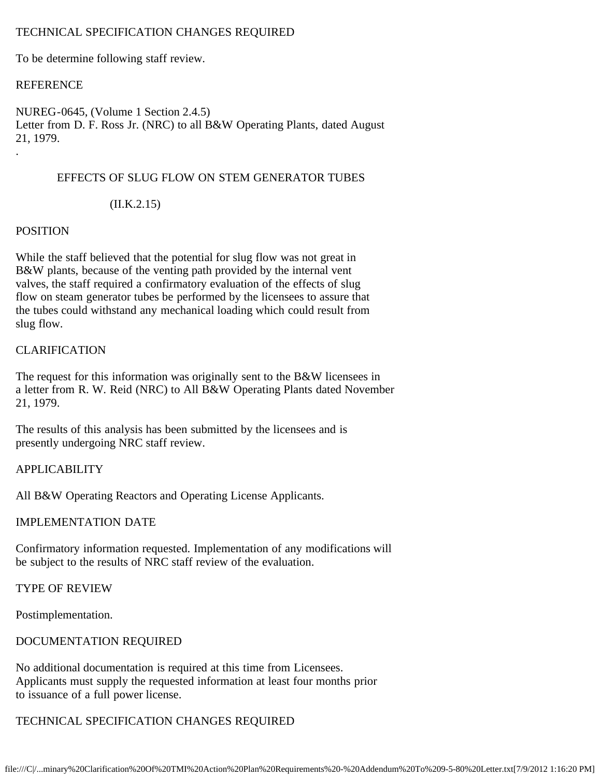# TECHNICAL SPECIFICATION CHANGES REQUIRED

To be determine following staff review.

### REFERENCE

NUREG-0645, (Volume 1 Section 2.4.5) Letter from D. F. Ross Jr. (NRC) to all B&W Operating Plants, dated August 21, 1979. .

## EFFECTS OF SLUG FLOW ON STEM GENERATOR TUBES

# $(II.K.2.15)$

### POSITION

While the staff believed that the potential for slug flow was not great in B&W plants, because of the venting path provided by the internal vent valves, the staff required a confirmatory evaluation of the effects of slug flow on steam generator tubes be performed by the licensees to assure that the tubes could withstand any mechanical loading which could result from slug flow.

# CLARIFICATION

The request for this information was originally sent to the B&W licensees in a letter from R. W. Reid (NRC) to All B&W Operating Plants dated November 21, 1979.

The results of this analysis has been submitted by the licensees and is presently undergoing NRC staff review.

## APPLICABILITY

All B&W Operating Reactors and Operating License Applicants.

# IMPLEMENTATION DATE

Confirmatory information requested. Implementation of any modifications will be subject to the results of NRC staff review of the evaluation.

# TYPE OF REVIEW

Postimplementation.

# DOCUMENTATION REQUIRED

No additional documentation is required at this time from Licensees. Applicants must supply the requested information at least four months prior to issuance of a full power license.

# TECHNICAL SPECIFICATION CHANGES REQUIRED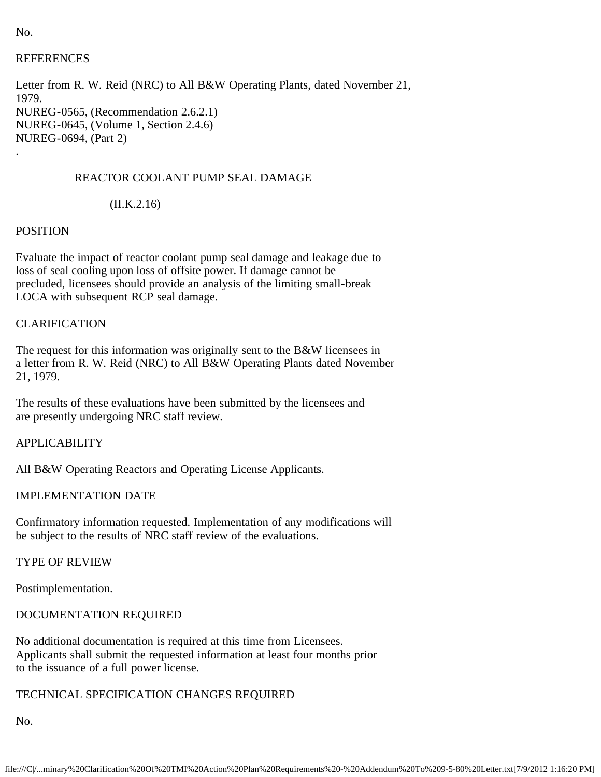### **REFERENCES**

Letter from R. W. Reid (NRC) to All B&W Operating Plants, dated November 21, 1979. NUREG-0565, (Recommendation 2.6.2.1) NUREG-0645, (Volume 1, Section 2.4.6) NUREG-0694, (Part 2)

### REACTOR COOLANT PUMP SEAL DAMAGE

### (II.K.2.16)

### POSITION

Evaluate the impact of reactor coolant pump seal damage and leakage due to loss of seal cooling upon loss of offsite power. If damage cannot be precluded, licensees should provide an analysis of the limiting small-break LOCA with subsequent RCP seal damage.

## CLARIFICATION

The request for this information was originally sent to the B&W licensees in a letter from R. W. Reid (NRC) to All B&W Operating Plants dated November 21, 1979.

The results of these evaluations have been submitted by the licensees and are presently undergoing NRC staff review.

### APPLICABILITY

All B&W Operating Reactors and Operating License Applicants.

### IMPLEMENTATION DATE

Confirmatory information requested. Implementation of any modifications will be subject to the results of NRC staff review of the evaluations.

### TYPE OF REVIEW

Postimplementation.

## DOCUMENTATION REQUIRED

No additional documentation is required at this time from Licensees. Applicants shall submit the requested information at least four months prior to the issuance of a full power license.

### TECHNICAL SPECIFICATION CHANGES REQUIRED

No.

No.

.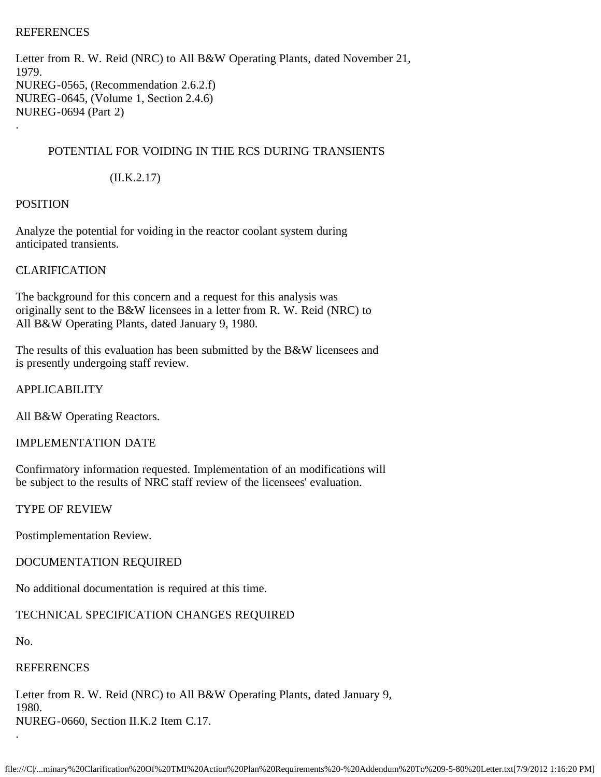### **REFERENCES**

Letter from R. W. Reid (NRC) to All B&W Operating Plants, dated November 21, 1979. NUREG-0565, (Recommendation 2.6.2.f) NUREG-0645, (Volume 1, Section 2.4.6) NUREG-0694 (Part 2)

## POTENTIAL FOR VOIDING IN THE RCS DURING TRANSIENTS

(II.K.2.17)

### POSITION

.

Analyze the potential for voiding in the reactor coolant system during anticipated transients.

## CLARIFICATION

The background for this concern and a request for this analysis was originally sent to the B&W licensees in a letter from R. W. Reid (NRC) to All B&W Operating Plants, dated January 9, 1980.

The results of this evaluation has been submitted by the B&W licensees and is presently undergoing staff review.

### APPLICABILITY

All B&W Operating Reactors.

### IMPLEMENTATION DATE

Confirmatory information requested. Implementation of an modifications will be subject to the results of NRC staff review of the licensees' evaluation.

## TYPE OF REVIEW

Postimplementation Review.

## DOCUMENTATION REQUIRED

No additional documentation is required at this time.

## TECHNICAL SPECIFICATION CHANGES REQUIRED

No.

.

### **REFERENCES**

Letter from R. W. Reid (NRC) to All B&W Operating Plants, dated January 9, 1980. NUREG-0660, Section II.K.2 Item C.17.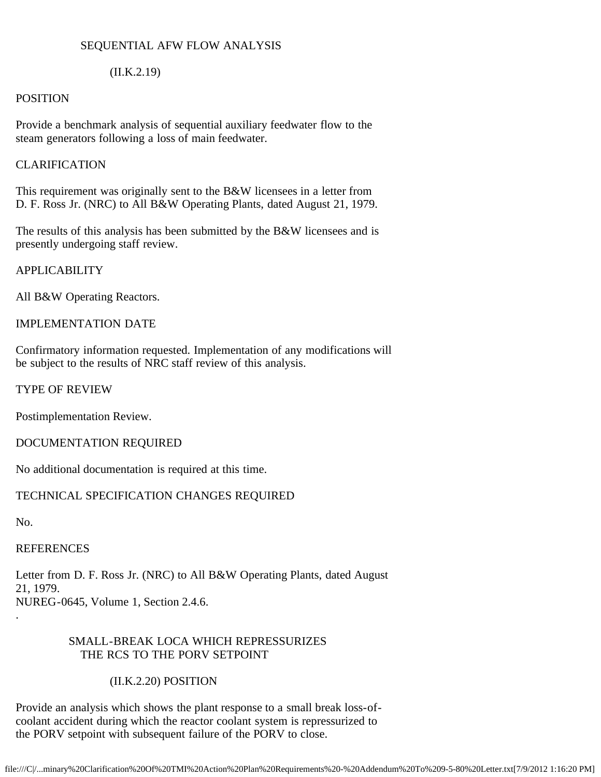### SEQUENTIAL AFW FLOW ANALYSIS

### (II.K.2.19)

### POSITION

Provide a benchmark analysis of sequential auxiliary feedwater flow to the steam generators following a loss of main feedwater.

### CLARIFICATION

This requirement was originally sent to the B&W licensees in a letter from D. F. Ross Jr. (NRC) to All B&W Operating Plants, dated August 21, 1979.

The results of this analysis has been submitted by the B&W licensees and is presently undergoing staff review.

### APPLICABILITY

All B&W Operating Reactors.

### IMPLEMENTATION DATE

Confirmatory information requested. Implementation of any modifications will be subject to the results of NRC staff review of this analysis.

### TYPE OF REVIEW

Postimplementation Review.

### DOCUMENTATION REQUIRED

No additional documentation is required at this time.

## TECHNICAL SPECIFICATION CHANGES REQUIRED

No.

.

### **REFERENCES**

Letter from D. F. Ross Jr. (NRC) to All B&W Operating Plants, dated August 21, 1979. NUREG-0645, Volume 1, Section 2.4.6.

### SMALL-BREAK LOCA WHICH REPRESSURIZES THE RCS TO THE PORV SETPOINT

## (II.K.2.20) POSITION

Provide an analysis which shows the plant response to a small break loss-ofcoolant accident during which the reactor coolant system is repressurized to the PORV setpoint with subsequent failure of the PORV to close.